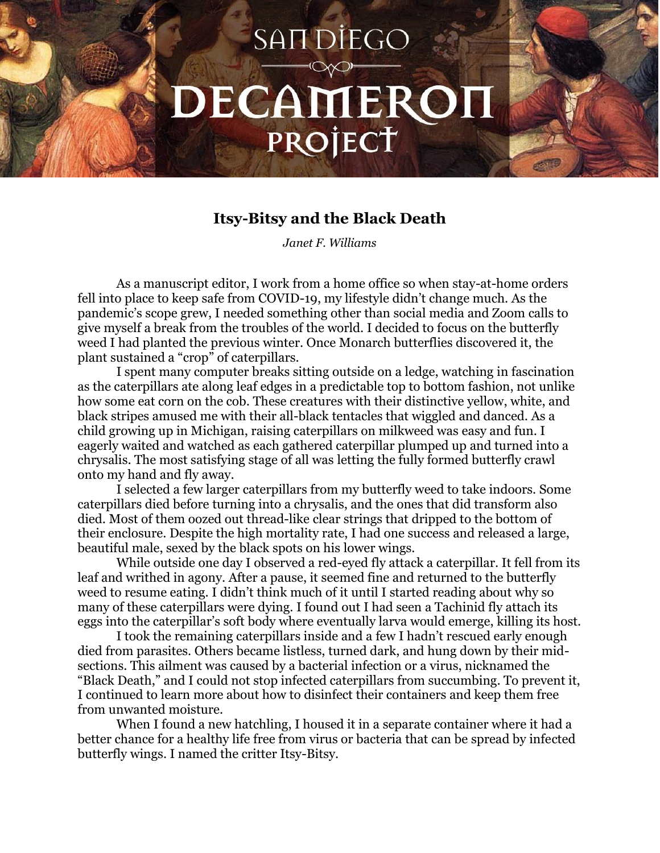## SAIT DIEGO DECAMERON PROJECT

## **Itsy-Bitsy and the Black Death**

*Janet F. Williams*

As a manuscript editor, I work from a home office so when stay-at-home orders fell into place to keep safe from COVID-19, my lifestyle didn't change much. As the pandemic's scope grew, I needed something other than social media and Zoom calls to give myself a break from the troubles of the world. I decided to focus on the butterfly weed I had planted the previous winter. Once Monarch butterflies discovered it, the plant sustained a "crop" of caterpillars.

I spent many computer breaks sitting outside on a ledge, watching in fascination as the caterpillars ate along leaf edges in a predictable top to bottom fashion, not unlike how some eat corn on the cob. These creatures with their distinctive yellow, white, and black stripes amused me with their all-black tentacles that wiggled and danced. As a child growing up in Michigan, raising caterpillars on milkweed was easy and fun. I eagerly waited and watched as each gathered caterpillar plumped up and turned into a chrysalis. The most satisfying stage of all was letting the fully formed butterfly crawl onto my hand and fly away.

I selected a few larger caterpillars from my butterfly weed to take indoors. Some caterpillars died before turning into a chrysalis, and the ones that did transform also died. Most of them oozed out thread-like clear strings that dripped to the bottom of their enclosure. Despite the high mortality rate, I had one success and released a large, beautiful male, sexed by the black spots on his lower wings.

While outside one day I observed a red-eyed fly attack a caterpillar. It fell from its leaf and writhed in agony. After a pause, it seemed fine and returned to the butterfly weed to resume eating. I didn't think much of it until I started reading about why so many of these caterpillars were dying. I found out I had seen a Tachinid fly attach its eggs into the caterpillar's soft body where eventually larva would emerge, killing its host.

I took the remaining caterpillars inside and a few I hadn't rescued early enough died from parasites. Others became listless, turned dark, and hung down by their midsections. This ailment was caused by a bacterial infection or a virus, nicknamed the "Black Death," and I could not stop infected caterpillars from succumbing. To prevent it, I continued to learn more about how to disinfect their containers and keep them free from unwanted moisture.

When I found a new hatchling, I housed it in a separate container where it had a better chance for a healthy life free from virus or bacteria that can be spread by infected butterfly wings. I named the critter Itsy-Bitsy.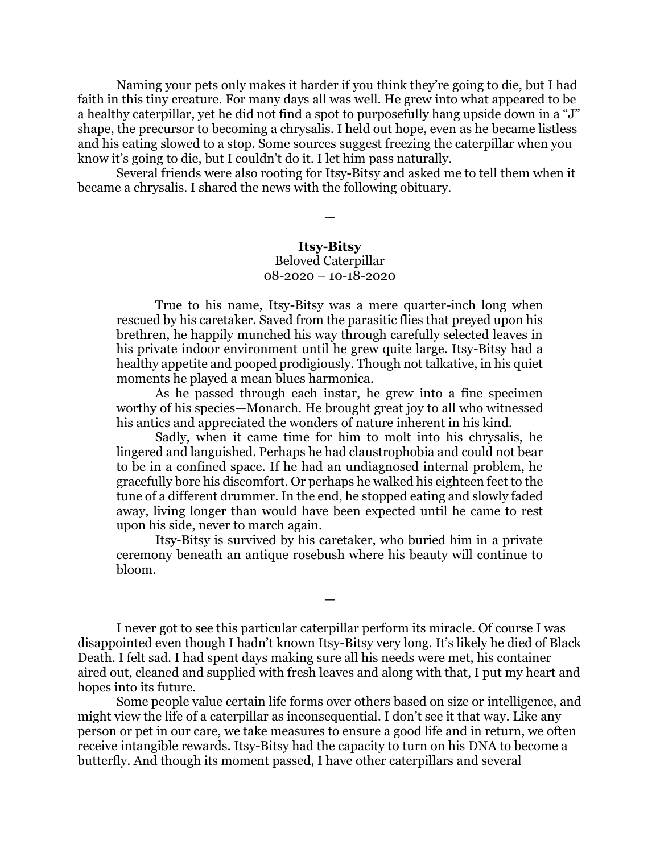Naming your pets only makes it harder if you think they're going to die, but I had faith in this tiny creature. For many days all was well. He grew into what appeared to be a healthy caterpillar, yet he did not find a spot to purposefully hang upside down in a "J" shape, the precursor to becoming a chrysalis. I held out hope, even as he became listless and his eating slowed to a stop. Some sources suggest freezing the caterpillar when you know it's going to die, but I couldn't do it. I let him pass naturally.

Several friends were also rooting for Itsy-Bitsy and asked me to tell them when it became a chrysalis. I shared the news with the following obituary.

## **Itsy-Bitsy**

—

## Beloved Caterpillar 08-2020 – 10-18-2020

True to his name, Itsy-Bitsy was a mere quarter-inch long when rescued by his caretaker. Saved from the parasitic flies that preyed upon his brethren, he happily munched his way through carefully selected leaves in his private indoor environment until he grew quite large. Itsy-Bitsy had a healthy appetite and pooped prodigiously. Though not talkative, in his quiet moments he played a mean blues harmonica.

As he passed through each instar, he grew into a fine specimen worthy of his species—Monarch. He brought great joy to all who witnessed his antics and appreciated the wonders of nature inherent in his kind.

Sadly, when it came time for him to molt into his chrysalis, he lingered and languished. Perhaps he had claustrophobia and could not bear to be in a confined space. If he had an undiagnosed internal problem, he gracefully bore his discomfort. Or perhaps he walked his eighteen feet to the tune of a different drummer. In the end, he stopped eating and slowly faded away, living longer than would have been expected until he came to rest upon his side, never to march again.

Itsy-Bitsy is survived by his caretaker, who buried him in a private ceremony beneath an antique rosebush where his beauty will continue to bloom.

—

I never got to see this particular caterpillar perform its miracle. Of course I was disappointed even though I hadn't known Itsy-Bitsy very long. It's likely he died of Black Death. I felt sad. I had spent days making sure all his needs were met, his container aired out, cleaned and supplied with fresh leaves and along with that, I put my heart and hopes into its future.

Some people value certain life forms over others based on size or intelligence, and might view the life of a caterpillar as inconsequential. I don't see it that way. Like any person or pet in our care, we take measures to ensure a good life and in return, we often receive intangible rewards. Itsy-Bitsy had the capacity to turn on his DNA to become a butterfly. And though its moment passed, I have other caterpillars and several